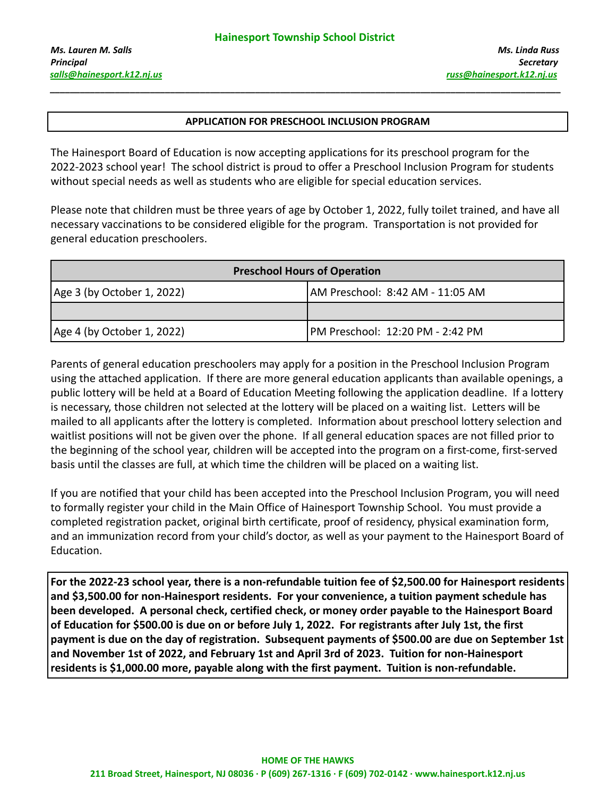## **APPLICATION FOR PRESCHOOL INCLUSION PROGRAM**

**\_\_\_\_\_\_\_\_\_\_\_\_\_\_\_\_\_\_\_\_\_\_\_\_\_\_\_\_\_\_\_\_\_\_\_\_\_\_\_\_\_\_\_\_\_\_\_\_\_\_\_\_\_\_\_\_\_\_\_\_\_\_\_\_\_\_\_\_\_\_\_\_\_\_\_\_\_\_\_\_\_\_\_\_\_\_\_\_\_\_\_\_\_\_\_\_\_\_\_\_\_\_**

The Hainesport Board of Education is now accepting applications for its preschool program for the 2022-2023 school year! The school district is proud to offer a Preschool Inclusion Program for students without special needs as well as students who are eligible for special education services.

Please note that children must be three years of age by October 1, 2022, fully toilet trained, and have all necessary vaccinations to be considered eligible for the program. Transportation is not provided for general education preschoolers.

| <b>Preschool Hours of Operation</b> |                                  |  |
|-------------------------------------|----------------------------------|--|
| Age 3 (by October 1, 2022)          | AM Preschool: 8:42 AM - 11:05 AM |  |
|                                     |                                  |  |
| Age 4 (by October 1, 2022)          | PM Preschool: 12:20 PM - 2:42 PM |  |

Parents of general education preschoolers may apply for a position in the Preschool Inclusion Program using the attached application. If there are more general education applicants than available openings, a public lottery will be held at a Board of Education Meeting following the application deadline. If a lottery is necessary, those children not selected at the lottery will be placed on a waiting list. Letters will be mailed to all applicants after the lottery is completed. Information about preschool lottery selection and waitlist positions will not be given over the phone. If all general education spaces are not filled prior to the beginning of the school year, children will be accepted into the program on a first-come, first-served basis until the classes are full, at which time the children will be placed on a waiting list.

If you are notified that your child has been accepted into the Preschool Inclusion Program, you will need to formally register your child in the Main Office of Hainesport Township School. You must provide a completed registration packet, original birth certificate, proof of residency, physical examination form, and an immunization record from your child's doctor, as well as your payment to the Hainesport Board of Education.

**For the 2022-23 school year, there is a non-refundable tuition fee of \$2,500.00 for Hainesport residents and \$3,500.00 for non-Hainesport residents. For your convenience, a tuition payment schedule has been developed. A personal check, certified check, or money order payable to the Hainesport Board of Education for \$500.00 is due on or before July 1, 2022. For registrants after July 1st, the first payment is due on the day of registration. Subsequent payments of \$500.00 are due on September 1st and November 1st of 2022, and February 1st and April 3rd of 2023. Tuition for non-Hainesport residents is \$1,000.00 more, payable along with the first payment. Tuition is non-refundable.**